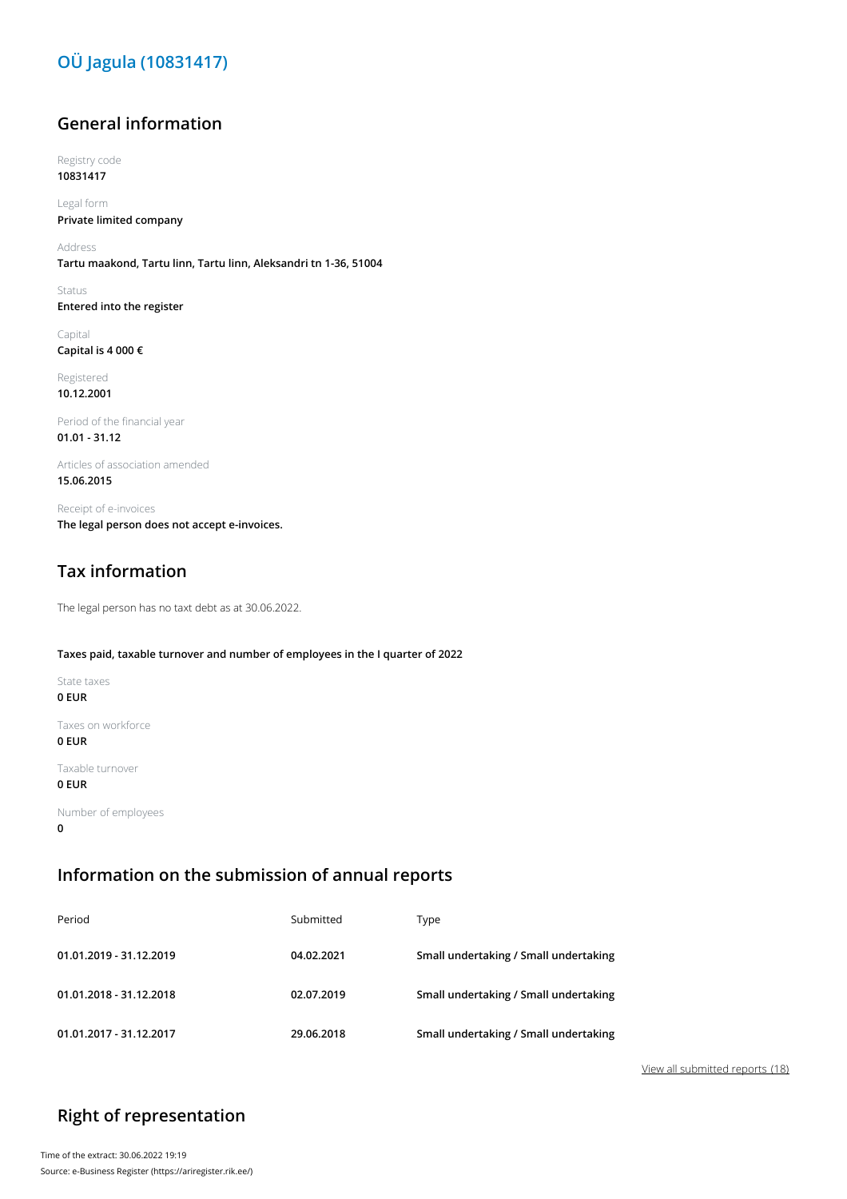## **OÜ Jagula (10831417)**

### **General information**

Registry code **10831417**

Legal form **Private limited company**

Address **Tartu maakond, Tartu linn, Tartu linn, Aleksandri tn 1-36, 51004**

Status **Entered into the register**

Capital **Capital is 4 000 €**

Registered **10.12.2001**

Period of the financial year **01.01 - 31.12**

Articles of association amended **15.06.2015**

Receipt of e-invoices **The legal person does not accept e-invoices.**

## **Tax information**

The legal person has no taxt debt as at 30.06.2022.

#### **Taxes paid, taxable turnover and number of employees in the I quarter of 2022**

State taxes

**0 EUR**

Taxes on workforce **0 EUR**

Taxable turnover

### **0 EUR**

Number of employees **0**

### **Information on the submission of annual reports**

| Period                  | Submitted  | Type                                  |
|-------------------------|------------|---------------------------------------|
| 01.01.2019 - 31.12.2019 | 04.02.2021 | Small undertaking / Small undertaking |
| 01.01.2018 - 31.12.2018 | 02.07.2019 | Small undertaking / Small undertaking |
| 01.01.2017 - 31.12.2017 | 29.06.2018 | Small undertaking / Small undertaking |

View all submitted reports (18)

## **Right of representation**